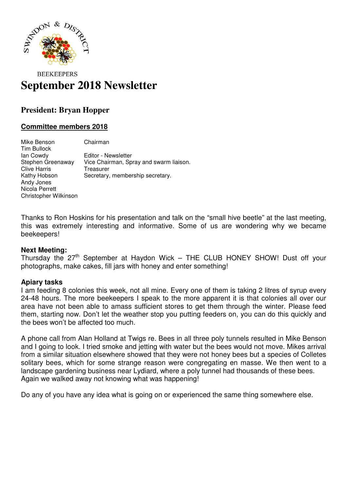

# **BEEKEEPERS September 2018 Newsletter**

## **President: Bryan Hopper**

### **Committee members 2018**

Mike Benson Chairman Tim Bullock Ian Cowdy Editor - Newsletter Stephen Greenaway Vice Chairman, Spray and swarm liaison. Clive Harris **Treasurer**<br> **Kathy Hobson** Secretary, Secretary, membership secretary. Andy Jones Nicola Perrett Christopher Wilkinson

Thanks to Ron Hoskins for his presentation and talk on the "small hive beetle" at the last meeting, this was extremely interesting and informative. Some of us are wondering why we became beekeepers!

#### **Next Meeting:**

Thursday the  $27<sup>th</sup>$  September at Haydon Wick – THE CLUB HONEY SHOW! Dust off your photographs, make cakes, fill jars with honey and enter something!

#### **Apiary tasks**

I am feeding 8 colonies this week, not all mine. Every one of them is taking 2 litres of syrup every 24-48 hours. The more beekeepers I speak to the more apparent it is that colonies all over our area have not been able to amass sufficient stores to get them through the winter. Please feed them, starting now. Don't let the weather stop you putting feeders on, you can do this quickly and the bees won't be affected too much.

A phone call from Alan Holland at Twigs re. Bees in all three poly tunnels resulted in Mike Benson and I going to look. I tried smoke and jetting with water but the bees would not move. Mikes arrival from a similar situation elsewhere showed that they were not honey bees but a species of Colletes solitary bees, which for some strange reason were congregating en masse. We then went to a landscape gardening business near Lydiard, where a poly tunnel had thousands of these bees. Again we walked away not knowing what was happening!

Do any of you have any idea what is going on or experienced the same thing somewhere else.